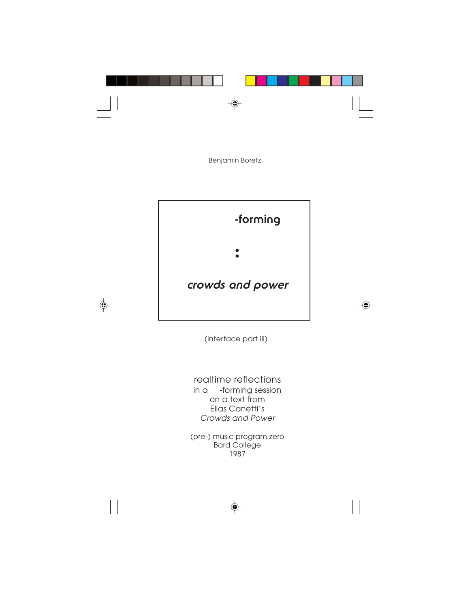

Benjamin Boretz



 $\bigcirc$ 

(interface part iii)

⊕

realtime reflections in a -forming session on a text from Elias Canetti's Crowds and Power

(pre-) music program zero Bard College 1987

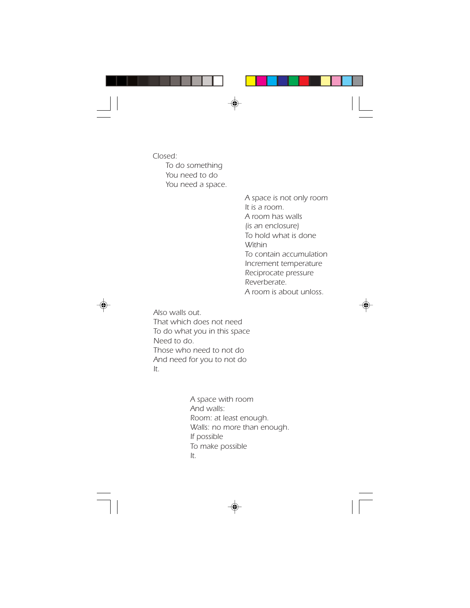

*Closed: To do something You need to do You need a space.*

> *A space is not only room It is a room. A room has walls (is an enclosure) To hold what is done Within To contain accumulation Increment temperature Reciprocate pressure Reverberate. A room is about unloss.*



*Also walls out. That which does not need To do what you in this space Need to do. Those who need to not do And need for you to not do It.*

> *A space with room And walls: Room: at least enough. Walls: no more than enough. If possible To make possible It.*

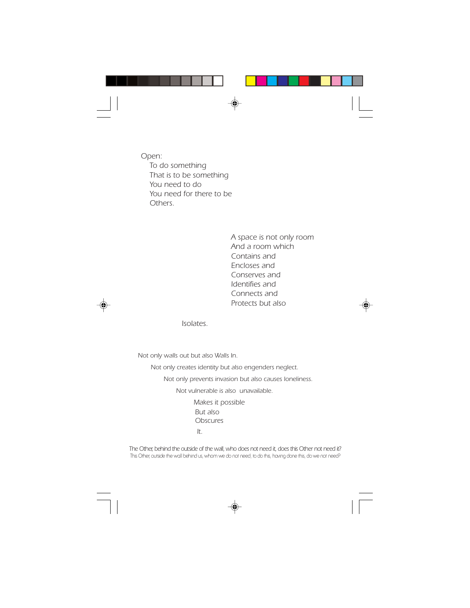

*Open: To do something That is to be something You need to do You need for there to be Others.*

> *A space is not only room And a room which Contains and Encloses and Conserves and Identifies and Connects and Protects but also*



*Isolates.*

*Not only walls out but also Walls In.*

 *Not only creates identity but also engenders neglect.*

 *Not only prevents invasion but also causes loneliness.*

 *Not vulnerable is also unavailable. Makes it possible But also Obscures It.*

*The Other, behind the outside of the wall, who does not need it, does this Other not need it?* This Other, outside the wall behind us, whom we do not need, to do this, having done this, do we not need?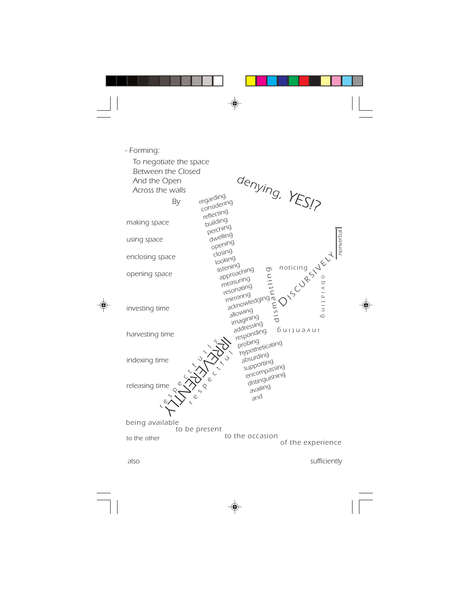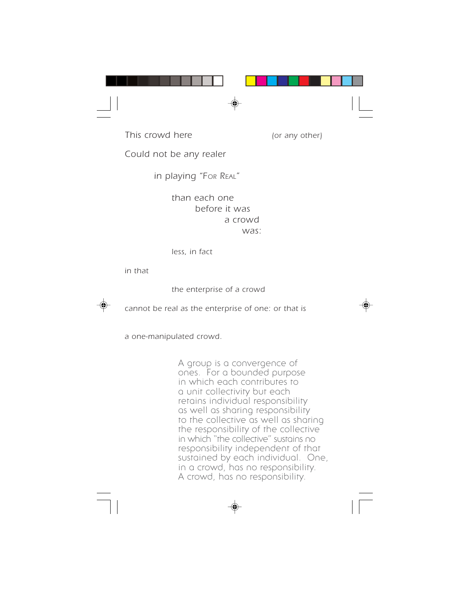

*This crowd here (or any other)*

*Could not be any realer*

 *in playing "FOR REAL"*

*than each one before it was a crowd was:*

*less, in fact*

*in that*

*the enterprise of a crowd*



*cannot be real as the enterprise of one: or that is*



*a one-manipulated crowd.*

A group is a convergence of ones. For a bounded purpose in which each contributes to a unit collectivity but each retains individual responsibility as well as sharing responsibility to the collective as well as sharing the responsibility of the collective in which "the collective" sustains no responsibility independent of that sustained by each individual. One, in a crowd, has no responsibility. A crowd, has no responsibility.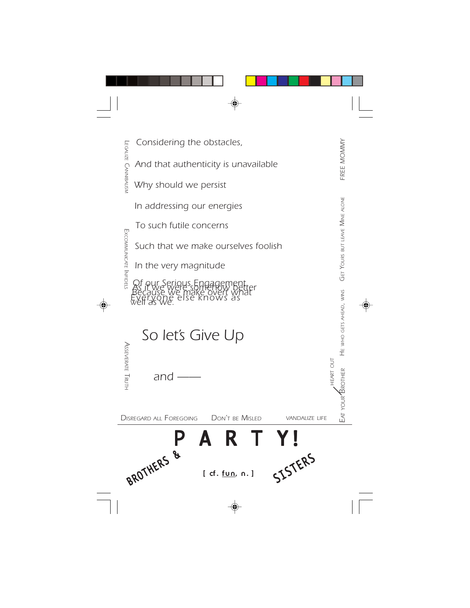